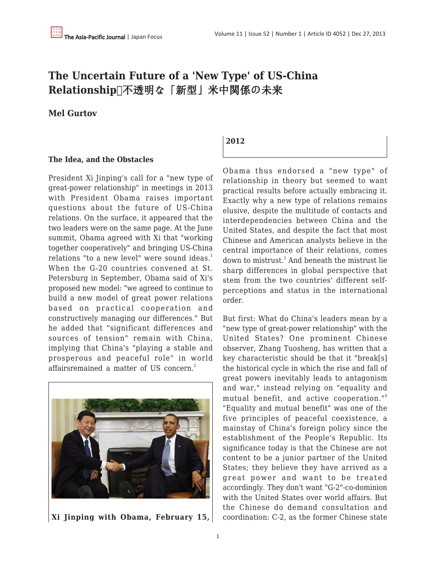# **The Uncertain Future of a 'New Type' of US-China** Relationship□不透明な「新型」米中関係の未来

## **Mel Gurtov**

#### **The Idea, and the Obstacles**

President Xi Jinping's call for a "new type of great-power relationship" in meetings in 2013 with President Obama raises important questions about the future of US-China relations. On the surface, it appeared that the two leaders were on the same page. At the June summit, Obama agreed with Xi that "working together cooperatively" and bringing US-China relations "to a new level" were sound ideas. $<sup>1</sup>$ </sup> When the G-20 countries convened at St. Petersburg in September, Obama said of Xi's proposed new model: "we agreed to continue to build a new model of great power relations based on practical cooperation and constructively managing our differences." But he added that "significant differences and sources of tension" remain with China, implying that China's "playing a stable and prosperous and peaceful role" in world affairsremained a matter of US concern.<sup>2</sup>



**Xi Jinping with Obama, February 15,**

## **2012**

Obama thus endorsed a "new type" of relationship in theory but seemed to want practical results before actually embracing it. Exactly why a new type of relations remains elusive, despite the multitude of contacts and interdependencies between China and the United States, and despite the fact that most Chinese and American analysts believe in the central importance of their relations, comes down to mistrust.<sup>3</sup> And beneath the mistrust lie sharp differences in global perspective that stem from the two countries' different selfperceptions and status in the international order.

But first: What do China's leaders mean by a "new type of great-power relationship" with the United States? One prominent Chinese observer, Zhang Tuosheng, has written that a key characteristic should be that it "break[s] the historical cycle in which the rise and fall of great powers inevitably leads to antagonism and war," instead relying on "equality and mutual benefit, and active cooperation."<sup>4</sup> "Equality and mutual benefit" was one of the five principles of peaceful coexistence, a mainstay of China's foreign policy since the establishment of the People's Republic. Its significance today is that the Chinese are not content to be a junior partner of the United States; they believe they have arrived as a great power and want to be treated accordingly. They don't want "G-2"-co-dominion with the United States over world affairs. But the Chinese do demand consultation and coordination: C-2, as the former Chinese state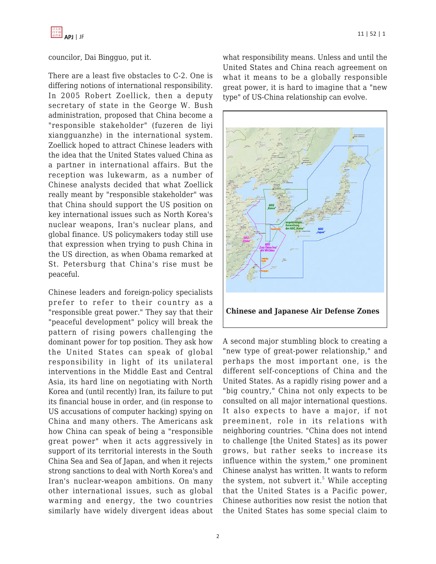

councilor, Dai Bingguo, put it.

There are a least five obstacles to C-2. One is differing notions of international responsibility. In 2005 Robert Zoellick, then a deputy secretary of state in the George W. Bush administration, proposed that China become a "responsible stakeholder" (fuzeren de liyi xiangguanzhe) in the international system. Zoellick hoped to attract Chinese leaders with the idea that the United States valued China as a partner in international affairs. But the reception was lukewarm, as a number of Chinese analysts decided that what Zoellick really meant by "responsible stakeholder" was that China should support the US position on key international issues such as North Korea's nuclear weapons, Iran's nuclear plans, and global finance. US policymakers today still use that expression when trying to push China in the US direction, as when Obama remarked at St. Petersburg that China's rise must be peaceful.

Chinese leaders and foreign-policy specialists prefer to refer to their country as a "responsible great power." They say that their "peaceful development" policy will break the pattern of rising powers challenging the dominant power for top position. They ask how the United States can speak of global responsibility in light of its unilateral interventions in the Middle East and Central Asia, its hard line on negotiating with North Korea and (until recently) Iran, its failure to put its financial house in order, and (in response to US accusations of computer hacking) spying on China and many others. The Americans ask how China can speak of being a "responsible great power" when it acts aggressively in support of its territorial interests in the South China Sea and Sea of Japan, and when it rejects strong sanctions to deal with North Korea's and Iran's nuclear-weapon ambitions. On many other international issues, such as global warming and energy, the two countries similarly have widely divergent ideas about what responsibility means. Unless and until the United States and China reach agreement on what it means to be a globally responsible great power, it is hard to imagine that a "new type" of US-China relationship can evolve.



A second major stumbling block to creating a "new type of great-power relationship," and perhaps the most important one, is the different self-conceptions of China and the United States. As a rapidly rising power and a "big country," China not only expects to be consulted on all major international questions. It also expects to have a major, if not preeminent, role in its relations with neighboring countries. "China does not intend to challenge [the United States] as its power grows, but rather seeks to increase its influence within the system," one prominent Chinese analyst has written. It wants to reform the system, not subvert it. $5$  While accepting that the United States is a Pacific power, Chinese authorities now resist the notion that the United States has some special claim to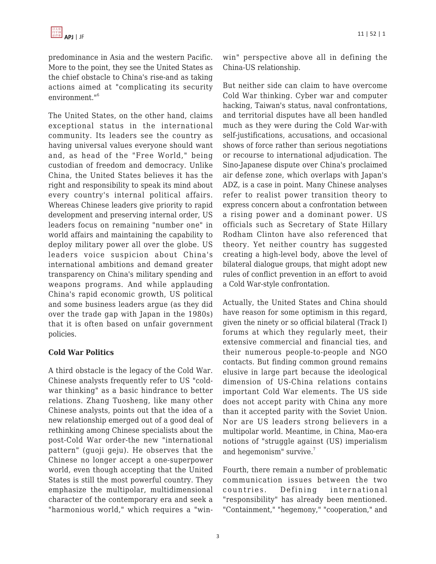predominance in Asia and the western Pacific. More to the point, they see the United States as the chief obstacle to China's rise-and as taking actions aimed at "complicating its security environment."<sup>6</sup>

The United States, on the other hand, claims exceptional status in the international community. Its leaders see the country as having universal values everyone should want and, as head of the "Free World," being custodian of freedom and democracy. Unlike China, the United States believes it has the right and responsibility to speak its mind about every country's internal political affairs. Whereas Chinese leaders give priority to rapid development and preserving internal order, US leaders focus on remaining "number one" in world affairs and maintaining the capability to deploy military power all over the globe. US leaders voice suspicion about China's international ambitions and demand greater transparency on China's military spending and weapons programs. And while applauding China's rapid economic growth, US political and some business leaders argue (as they did over the trade gap with Japan in the 1980s) that it is often based on unfair government policies.

## **Cold War Politics**

A third obstacle is the legacy of the Cold War. Chinese analysts frequently refer to US "coldwar thinking" as a basic hindrance to better relations. Zhang Tuosheng, like many other Chinese analysts, points out that the idea of a new relationship emerged out of a good deal of rethinking among Chinese specialists about the post-Cold War order-the new "international pattern" (guoji geju). He observes that the Chinese no longer accept a one-superpower world, even though accepting that the United States is still the most powerful country. They emphasize the multipolar, multidimensional character of the contemporary era and seek a "harmonious world," which requires a "winwin" perspective above all in defining the China-US relationship.

But neither side can claim to have overcome Cold War thinking. Cyber war and computer hacking, Taiwan's status, naval confrontations, and territorial disputes have all been handled much as they were during the Cold War-with self-justifications, accusations, and occasional shows of force rather than serious negotiations or recourse to international adjudication. The Sino-Japanese dispute over China's proclaimed air defense zone, which overlaps with Japan's ADZ, is a case in point. Many Chinese analyses refer to realist power transition theory to express concern about a confrontation between a rising power and a dominant power. US officials such as Secretary of State Hillary Rodham Clinton have also referenced that theory. Yet neither country has suggested creating a high-level body, above the level of bilateral dialogue groups, that might adopt new rules of conflict prevention in an effort to avoid a Cold War-style confrontation.

Actually, the United States and China should have reason for some optimism in this regard, given the ninety or so official bilateral (Track I) forums at which they regularly meet, their extensive commercial and financial ties, and their numerous people-to-people and NGO contacts. But finding common ground remains elusive in large part because the ideological dimension of US-China relations contains important Cold War elements. The US side does not accept parity with China any more than it accepted parity with the Soviet Union. Nor are US leaders strong believers in a multipolar world. Meantime, in China, Mao-era notions of "struggle against (US) imperialism and hegemonism" survive.<sup>7</sup>

Fourth, there remain a number of problematic communication issues between the two countries. Defining international "responsibility" has already been mentioned. "Containment," "hegemony," "cooperation," and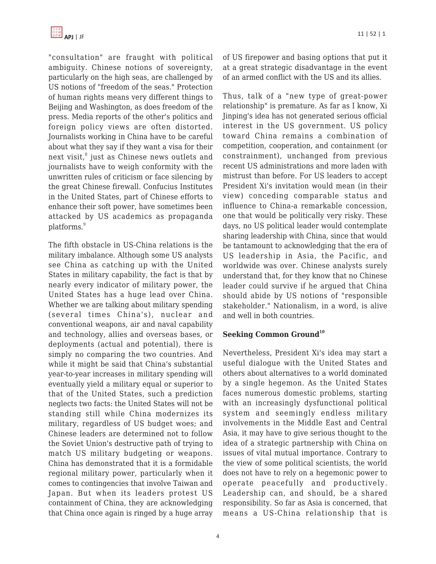

"consultation" are fraught with political ambiguity. Chinese notions of sovereignty, particularly on the high seas, are challenged by US notions of "freedom of the seas." Protection of human rights means very different things to Beijing and Washington, as does freedom of the press. Media reports of the other's politics and foreign policy views are often distorted. Journalists working in China have to be careful about what they say if they want a visa for their next visit, $^8$  just as Chinese news outlets and journalists have to weigh conformity with the unwritten rules of criticism or face silencing by the great Chinese firewall. Confucius Institutes in the United States, part of Chinese efforts to enhance their soft power, have sometimes been attacked by US academics as propaganda platforms.<sup>9</sup>

The fifth obstacle in US-China relations is the military imbalance. Although some US analysts see China as catching up with the United States in military capability, the fact is that by nearly every indicator of military power, the United States has a huge lead over China. Whether we are talking about military spending (several times China's), nuclear and conventional weapons, air and naval capability and technology, allies and overseas bases, or deployments (actual and potential), there is simply no comparing the two countries. And while it might be said that China's substantial year-to-year increases in military spending will eventually yield a military equal or superior to that of the United States, such a prediction neglects two facts: the United States will not be standing still while China modernizes its military, regardless of US budget woes; and Chinese leaders are determined not to follow the Soviet Union's destructive path of trying to match US military budgeting or weapons. China has demonstrated that it is a formidable regional military power, particularly when it comes to contingencies that involve Taiwan and Japan. But when its leaders protest US containment of China, they are acknowledging that China once again is ringed by a huge array of US firepower and basing options that put it at a great strategic disadvantage in the event of an armed conflict with the US and its allies.

Thus, talk of a "new type of great-power relationship" is premature. As far as I know, Xi Jinping's idea has not generated serious official interest in the US government. US policy toward China remains a combination of competition, cooperation, and containment (or constrainment), unchanged from previous recent US administrations and more laden with mistrust than before. For US leaders to accept President Xi's invitation would mean (in their view) conceding comparable status and influence to China-a remarkable concession, one that would be politically very risky. These days, no US political leader would contemplate sharing leadership with China, since that would be tantamount to acknowledging that the era of US leadership in Asia, the Pacific, and worldwide was over. Chinese analysts surely understand that, for they know that no Chinese leader could survive if he argued that China should abide by US notions of "responsible stakeholder." Nationalism, in a word, is alive and well in both countries.

## **Seeking Common Ground<sup>10</sup>**

Nevertheless, President Xi's idea may start a useful dialogue with the United States and others about alternatives to a world dominated by a single hegemon. As the United States faces numerous domestic problems, starting with an increasingly dysfunctional political system and seemingly endless military involvements in the Middle East and Central Asia, it may have to give serious thought to the idea of a strategic partnership with China on issues of vital mutual importance. Contrary to the view of some political scientists, the world does not have to rely on a hegemonic power to operate peacefully and productively. Leadership can, and should, be a shared responsibility. So far as Asia is concerned, that means a US-China relationship that is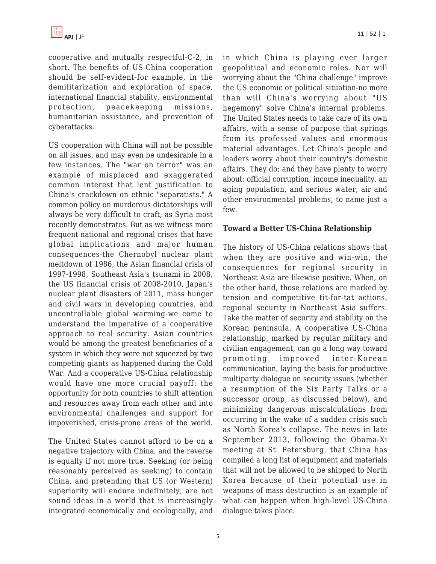cooperative and mutually respectful-C-2, in short. The benefits of US-China cooperation should be self-evident-for example, in the demilitarization and exploration of space, international financial stability, environmental protection, peacekeeping missions, humanitarian assistance, and prevention of cyberattacks.

US cooperation with China will not be possible on all issues, and may even be undesirable in a few instances. The "war on terror" was an example of misplaced and exaggerated common interest that lent justification to China's crackdown on ethnic "separatists." A common policy on murderous dictatorships will always be very difficult to craft, as Syria most recently demonstrates. But as we witness more frequent national and regional crises that have global implications and major human consequences-the Chernobyl nuclear plant meltdown of 1986, the Asian financial crisis of 1997-1998, Southeast Asia's tsunami in 2008, the US financial crisis of 2008-2010, Japan's nuclear plant disasters of 2011, mass hunger and civil wars in developing countries, and uncontrollable global warming-we come to understand the imperative of a cooperative approach to real security. Asian countries would be among the greatest beneficiaries of a system in which they were not squeezed by two competing giants as happened during the Cold War. And a cooperative US-China relationship would have one more crucial payoff: the opportunity for both countries to shift attention and resources away from each other and into environmental challenges and support for impoverished, crisis-prone areas of the world.

The United States cannot afford to be on a negative trajectory with China, and the reverse is equally if not more true. Seeking (or being reasonably perceived as seeking) to contain China, and pretending that US (or Western) superiority will endure indefinitely, are not sound ideas in a world that is increasingly integrated economically and ecologically, and in which China is playing ever larger geopolitical and economic roles. Nor will worrying about the "China challenge" improve the US economic or political situation-no more than will China's worrying about "US hegemony" solve China's internal problems. The United States needs to take care of its own affairs, with a sense of purpose that springs from its professed values and enormous material advantages. Let China's people and leaders worry about their country's domestic affairs. They do; and they have plenty to worry about: official corruption, income inequality, an aging population, and serious water, air and other environmental problems, to name just a few.

## **Toward a Better US-China Relationship**

The history of US-China relations shows that when they are positive and win-win, the consequences for regional security in Northeast Asia are likewise positive. When, on the other hand, those relations are marked by tension and competitive tit-for-tat actions, regional security in Northeast Asia suffers. Take the matter of security and stability on the Korean peninsula. A cooperative US-China relationship, marked by regular military and civilian engagement, can go a long way toward promoting improved inter-Korean communication, laying the basis for productive multiparty dialogue on security issues (whether a resumption of the Six Party Talks or a successor group, as discussed below), and minimizing dangerous miscalculations from occurring in the wake of a sudden crisis such as North Korea's collapse. The news in late September 2013, following the Obama-Xi meeting at St. Petersburg, that China has compiled a long list of equipment and materials that will not be allowed to be shipped to North Korea because of their potential use in weapons of mass destruction is an example of what can happen when high-level US-China dialogue takes place.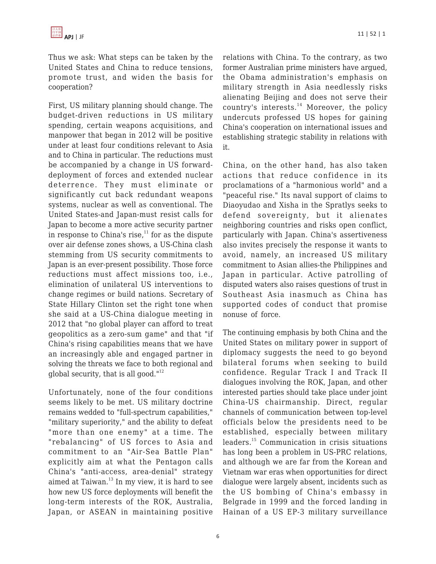Thus we ask: What steps can be taken by the United States and China to reduce tensions, promote trust, and widen the basis for cooperation?

First, US military planning should change. The budget-driven reductions in US military spending, certain weapons acquisitions, and manpower that began in 2012 will be positive under at least four conditions relevant to Asia and to China in particular. The reductions must be accompanied by a change in US forwarddeployment of forces and extended nuclear deterrence. They must eliminate or significantly cut back redundant weapons systems, nuclear as well as conventional. The United States-and Japan-must resist calls for Japan to become a more active security partner in response to China's rise, $11$  for as the dispute over air defense zones shows, a US-China clash stemming from US security commitments to Japan is an ever-present possibility. Those force reductions must affect missions too, i.e., elimination of unilateral US interventions to change regimes or build nations. Secretary of State Hillary Clinton set the right tone when she said at a US-China dialogue meeting in 2012 that "no global player can afford to treat geopolitics as a zero-sum game" and that "if China's rising capabilities means that we have an increasingly able and engaged partner in solving the threats we face to both regional and global security, that is all good. $112$ 

Unfortunately, none of the four conditions seems likely to be met. US military doctrine remains wedded to "full-spectrum capabilities," "military superiority," and the ability to defeat "more than one enemy" at a time. The "rebalancing" of US forces to Asia and commitment to an "Air-Sea Battle Plan" explicitly aim at what the Pentagon calls China's "anti-access, area-denial" strategy aimed at Taiwan.<sup>13</sup> In my view, it is hard to see how new US force deployments will benefit the long-term interests of the ROK, Australia, Japan, or ASEAN in maintaining positive relations with China. To the contrary, as two former Australian prime ministers have argued, the Obama administration's emphasis on military strength in Asia needlessly risks alienating Beijing and does not serve their country's interests. $14$  Moreover, the policy undercuts professed US hopes for gaining China's cooperation on international issues and establishing strategic stability in relations with it.

China, on the other hand, has also taken actions that reduce confidence in its proclamations of a "harmonious world" and a "peaceful rise." Its naval support of claims to Diaoyudao and Xisha in the Spratlys seeks to defend sovereignty, but it alienates neighboring countries and risks open conflict, particularly with Japan. China's assertiveness also invites precisely the response it wants to avoid, namely, an increased US military commitment to Asian allies-the Philippines and Japan in particular. Active patrolling of disputed waters also raises questions of trust in Southeast Asia inasmuch as China has supported codes of conduct that promise nonuse of force.

The continuing emphasis by both China and the United States on military power in support of diplomacy suggests the need to go beyond bilateral forums when seeking to build confidence. Regular Track I and Track II dialogues involving the ROK, Japan, and other interested parties should take place under joint China-US chairmanship. Direct, regular channels of communication between top-level officials below the presidents need to be established, especially between military leaders.<sup>15</sup> Communication in crisis situations has long been a problem in US-PRC relations, and although we are far from the Korean and Vietnam war eras when opportunities for direct dialogue were largely absent, incidents such as the US bombing of China's embassy in Belgrade in 1999 and the forced landing in Hainan of a US EP-3 military surveillance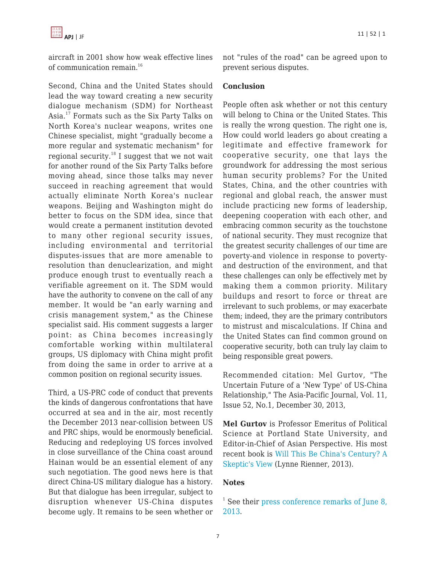aircraft in 2001 show how weak effective lines of communication remain.<sup>16</sup>

Second, China and the United States should lead the way toward creating a new security dialogue mechanism (SDM) for Northeast Asia.<sup>17</sup> Formats such as the Six Party Talks on North Korea's nuclear weapons, writes one Chinese specialist, might "gradually become a more regular and systematic mechanism" for regional security.<sup>18</sup> I suggest that we not wait for another round of the Six Party Talks before moving ahead, since those talks may never succeed in reaching agreement that would actually eliminate North Korea's nuclear weapons. Beijing and Washington might do better to focus on the SDM idea, since that would create a permanent institution devoted to many other regional security issues, including environmental and territorial disputes-issues that are more amenable to resolution than denuclearization, and might produce enough trust to eventually reach a verifiable agreement on it. The SDM would have the authority to convene on the call of any member. It would be "an early warning and crisis management system," as the Chinese specialist said. His comment suggests a larger point: as China becomes increasingly comfortable working within multilateral groups, US diplomacy with China might profit from doing the same in order to arrive at a common position on regional security issues.

Third, a US-PRC code of conduct that prevents the kinds of dangerous confrontations that have occurred at sea and in the air, most recently the December 2013 near-collision between US and PRC ships, would be enormously beneficial. Reducing and redeploying US forces involved in close surveillance of the China coast around Hainan would be an essential element of any such negotiation. The good news here is that direct China-US military dialogue has a history. But that dialogue has been irregular, subject to disruption whenever US-China disputes become ugly. It remains to be seen whether or not "rules of the road" can be agreed upon to prevent serious disputes.

## **Conclusion**

People often ask whether or not this century will belong to China or the United States. This is really the wrong question. The right one is, How could world leaders go about creating a legitimate and effective framework for cooperative security, one that lays the groundwork for addressing the most serious human security problems? For the United States, China, and the other countries with regional and global reach, the answer must include practicing new forms of leadership, deepening cooperation with each other, and embracing common security as the touchstone of national security. They must recognize that the greatest security challenges of our time are poverty-and violence in response to povertyand destruction of the environment, and that these challenges can only be effectively met by making them a common priority. Military buildups and resort to force or threat are irrelevant to such problems, or may exacerbate them; indeed, they are the primary contributors to mistrust and miscalculations. If China and the United States can find common ground on cooperative security, both can truly lay claim to being responsible great powers.

Recommended citation: Mel Gurtov, "The Uncertain Future of a 'New Type' of US-China Relationship," The Asia-Pacific Journal, Vol. 11, Issue 52, No.1, December 30, 2013,

**Mel Gurtov** is Professor Emeritus of Political Science at Portland State University, and Editor-in-Chief of Asian Perspective. His most recent book is [Will This Be China's Century? A](http://www.amazon.com/Will-This-Be-Chinas-Century/dp/1588268748/?tag=theasipacjo0b-20) [Skeptic's View](http://www.amazon.com/Will-This-Be-Chinas-Century/dp/1588268748/?tag=theasipacjo0b-20) (Lynne Rienner, 2013).

#### **Notes**

<sup>&</sup>lt;sup>1</sup> See their [press conference remarks of June 8,](http://www.whitehouse.gov/the-press-office/2013/09/06/remarks-president-obama-and-president-xi-peoples-republic-china-bilatera) [2013](http://www.whitehouse.gov/the-press-office/2013/09/06/remarks-president-obama-and-president-xi-peoples-republic-china-bilatera).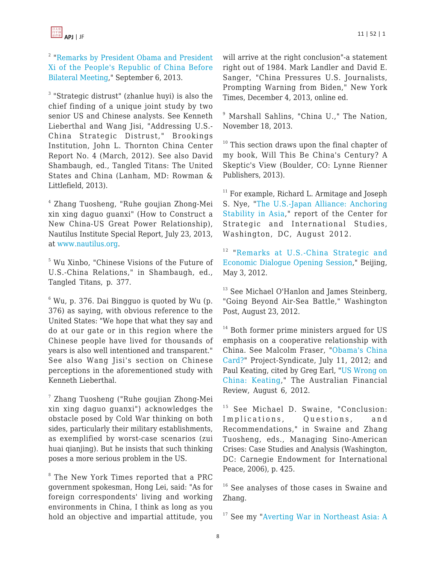<sup>2</sup> ["Remarks by President Obama and President](http://www.whitehouse.gov/the-press-office/2013/09/06/remarks-president-obama-and-president-xi-peoples-republic-china-bilatera) [Xi of the People's Republic of China Before](http://www.whitehouse.gov/the-press-office/2013/09/06/remarks-president-obama-and-president-xi-peoples-republic-china-bilatera) [Bilateral Meeting,](http://www.whitehouse.gov/the-press-office/2013/09/06/remarks-president-obama-and-president-xi-peoples-republic-china-bilatera)" September 6, 2013.

<sup>3</sup> "Strategic distrust" (zhanlue huyi) is also the chief finding of a unique joint study by two senior US and Chinese analysts. See Kenneth Lieberthal and Wang Jisi, "Addressing U.S.- China Strategic Distrust," Brookings Institution, John L. Thornton China Center Report No. 4 (March, 2012). See also David Shambaugh, ed., Tangled Titans: The United States and China (Lanham, MD: Rowman & Littlefield, 2013).

4 Zhang Tuosheng, "Ruhe goujian Zhong-Mei xin xing daguo guanxi" (How to Construct a New China-US Great Power Relationship), Nautilus Institute Special Report, July 23, 2013, at [www.nautilus.org.](http://www.nautilus.org/)

5 Wu Xinbo, "Chinese Visions of the Future of U.S.-China Relations," in Shambaugh, ed., Tangled Titans, p. 377.

 $6$  Wu, p. 376. Dai Bingguo is quoted by Wu (p. 376) as saying, with obvious reference to the United States: "We hope that what they say and do at our gate or in this region where the Chinese people have lived for thousands of years is also well intentioned and transparent." See also Wang Jisi's section on Chinese perceptions in the aforementioned study with Kenneth Lieberthal.

7 Zhang Tuosheng ("Ruhe goujian Zhong-Mei xin xing daguo guanxi") acknowledges the obstacle posed by Cold War thinking on both sides, particularly their military establishments, as exemplified by worst-case scenarios (zui huai qianjing). But he insists that such thinking poses a more serious problem in the US.

8 The New York Times reported that a PRC government spokesman, Hong Lei, said: "As for foreign correspondents' living and working environments in China, I think as long as you hold an objective and impartial attitude, you will arrive at the right conclusion"-a statement right out of 1984. Mark Landler and David E. Sanger, "China Pressures U.S. Journalists, Prompting Warning from Biden," New York Times, December 4, 2013, online ed.

9 Marshall Sahlins, "China U.," The Nation, November 18, 2013.

<sup>10</sup> This section draws upon the final chapter of my book, Will This Be China's Century? A Skeptic's View (Boulder, CO: Lynne Rienner Publishers, 2013).

<sup>11</sup> For example, Richard L. Armitage and Joseph S. Nye, ["The U.S.-Japan Alliance: Anchoring](http://csis.org/files/publication/120810_Armitage_USJapanAlliance_Web.pdf) [Stability in Asia](http://csis.org/files/publication/120810_Armitage_USJapanAlliance_Web.pdf)," report of the Center for Strategic and International Studies, Washington, DC, August 2012.

<sup>12</sup> "[Remarks at U.S.-China Strategic and](http://www.state.gov/secretary/rm/2012/05/189213.htm) [Economic Dialogue Opening Session](http://www.state.gov/secretary/rm/2012/05/189213.htm)," Beijing, May 3, 2012.

<sup>13</sup> See Michael O'Hanlon and James Steinberg, "Going Beyond Air-Sea Battle," Washington Post, August 23, 2012.

 $14$  Both former prime ministers argued for US emphasis on a cooperative relationship with China. See Malcolm Fraser, "[Obama's China](http://www.project-syndicate.org/commentary/obama-s-china-card) [Card?"](http://www.project-syndicate.org/commentary/obama-s-china-card) Project-Syndicate, July 11, 2012; and Paul Keating, cited by Greg Earl, ["US Wrong on](http://afr.com/p/national/us_wrong_on_china_keating_Bjp2FY9i9j5ahuD7iGsQBP) [China: Keating](http://afr.com/p/national/us_wrong_on_china_keating_Bjp2FY9i9j5ahuD7iGsQBP)," The Australian Financial Review, August 6, 2012.

<sup>15</sup> See Michael D. Swaine, "Conclusion: Implications, Questions, and Recommendations," in Swaine and Zhang Tuosheng, eds., Managing Sino-American Crises: Case Studies and Analysis (Washington, DC: Carnegie Endowment for International Peace, 2006), p. 425.

<sup>16</sup> See analyses of those cases in Swaine and Zhang.

<sup>17</sup> See my ["Averting War in Northeast Asia: A](https://apjjf.org/-Mel-Gurtov/3467)